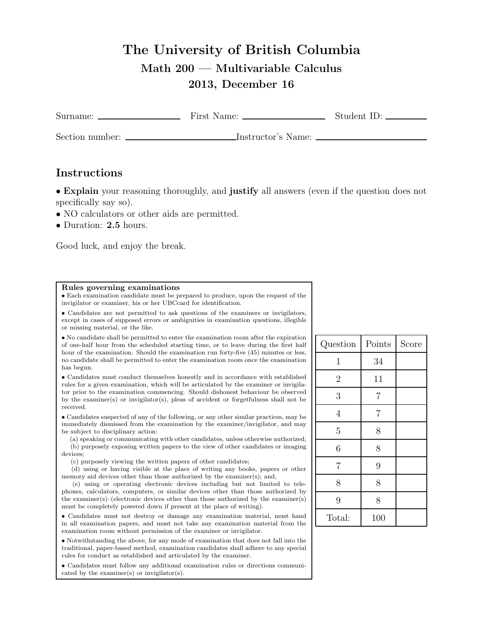## The University of British Columbia Math 200 — Multivariable Calculus 2013, December 16

| Surname:        | First Name:        | Student ID: |
|-----------------|--------------------|-------------|
| Section number: | Instructor's Name: |             |

## Instructions

• Explain your reasoning thoroughly, and justify all answers (even if the question does not specifically say so).

- NO calculators or other aids are permitted.
- Duration: 2.5 hours.

Good luck, and enjoy the break.

## Rules governing examinations

• Each examination candidate must be prepared to produce, upon the request of the invigilator or examiner, his or her UBCcard for identification.

• Candidates are not permitted to ask questions of the examiners or invigilators, except in cases of supposed errors or ambiguities in examination questions, illegible or missing material, or the like.

• No candidate shall be permitted to enter the examination room after the expiration of one-half hour from the scheduled starting time, or to leave during the first half hour of the examination. Should the examination run forty-five (45) minutes or less, no candidate shall be permitted to enter the examination room once the examination has begun.

• Candidates must conduct themselves honestly and in accordance with established rules for a given examination, which will be articulated by the examiner or invigilator prior to the examination commencing. Should dishonest behaviour be observed by the examiner(s) or invigilator(s), pleas of accident or forgetfulness shall not be received.

• Candidates suspected of any of the following, or any other similar practices, may be immediately dismissed from the examination by the examiner/invigilator, and may be subject to disciplinary action:

(a) speaking or communicating with other candidates, unless otherwise authorized; (b) purposely exposing written papers to the view of other candidates or imaging devices;

(c) purposely viewing the written papers of other candidates;

(d) using or having visible at the place of writing any books, papers or other memory aid devices other than those authorized by the examiner(s); and,

(e) using or operating electronic devices including but not limited to telephones, calculators, computers, or similar devices other than those authorized by the examiner(s)–(electronic devices other than those authorized by the examiner(s) must be completely powered down if present at the place of writing).

• Candidates must not destroy or damage any examination material, must hand in all examination papers, and must not take any examination material from the examination room without permission of the examiner or invigilator.

• Notwithstanding the above, for any mode of examination that does not fall into the traditional, paper-based method, examination candidates shall adhere to any special rules for conduct as established and articulated by the examiner.

• Candidates must follow any additional examination rules or directions communicated by the examiner(s) or invigilator(s).

| Question       | Points         | Score |
|----------------|----------------|-------|
| 1              | 34             |       |
| $\overline{2}$ | 11             |       |
| 3              | $\overline{7}$ |       |
| $\overline{4}$ | $\overline{7}$ |       |
| $\overline{5}$ | 8              |       |
| 6              | 8              |       |
| $\overline{7}$ | 9              |       |
| 8              | 8              |       |
| 9              | 8              |       |
| Total:         | 100            |       |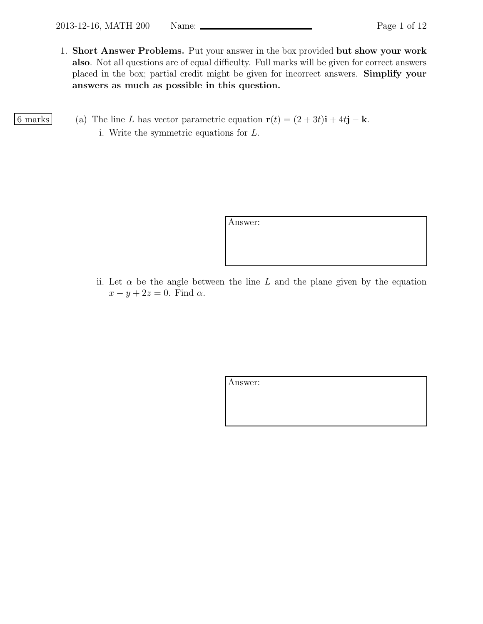1. Short Answer Problems. Put your answer in the box provided but show your work also. Not all questions are of equal difficulty. Full marks will be given for correct answers placed in the box; partial credit might be given for incorrect answers. Simplify your answers as much as possible in this question.

6 marks (a) The line L has vector parametric equation  $\mathbf{r}(t) = (2+3t)\mathbf{i} + 4t\mathbf{j} - \mathbf{k}$ . i. Write the symmetric equations for L.

Answer:

ii. Let  $\alpha$  be the angle between the line L and the plane given by the equation  $x - y + 2z = 0$ . Find  $\alpha$ .

Answer: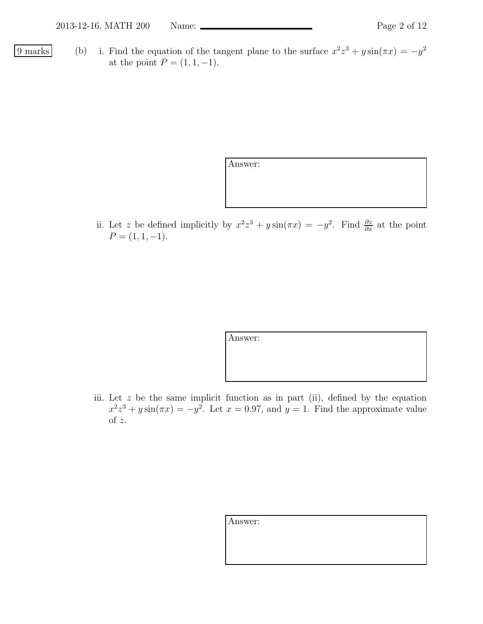- 
- 9 marks (b) i. Find the equation of the tangent plane to the surface  $x^2z^3 + y\sin(\pi x) = -y^2$ at the point  $P = (1, 1, -1)$ .

Answer:

ii. Let z be defined implicitly by  $x^2z^3 + y\sin(\pi x) = -y^2$ . Find  $\frac{\partial z}{\partial x}$  at the point  $P = (1, 1, -1).$ 

Answer:

iii. Let  $z$  be the same implicit function as in part (ii), defined by the equation  $x^2z^3 + y\sin(\pi x) = -y^2$ . Let  $x = 0.97$ , and  $y = 1$ . Find the approximate value of z.

| Answer: |  |
|---------|--|
|         |  |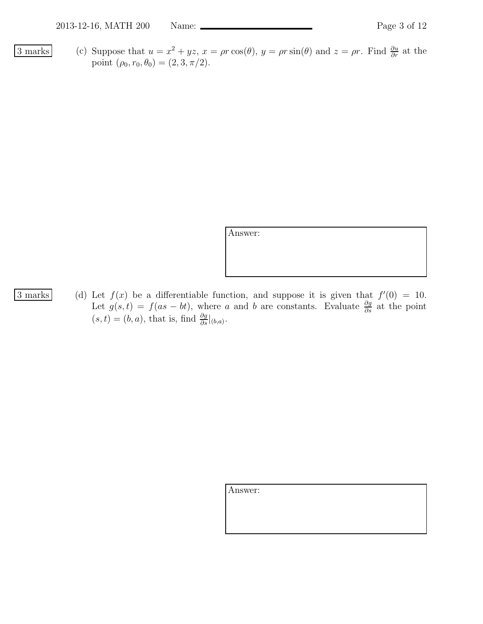3 marks (c) Suppose that  $u = x^2 + yz$ ,  $x = \rho r \cos(\theta)$ ,  $y = \rho r \sin(\theta)$  and  $z = \rho r$ . Find  $\frac{\partial u}{\partial r}$  at the point  $(\rho_0, r_0, \theta_0) = (2, 3, \pi/2).$ 

Answer:

- 
- 3 marks (d) Let  $f(x)$  be a differentiable function, and suppose it is given that  $f'(0) = 10$ . Let  $g(s,t) = f(as - bt)$ , where a and b are constants. Evaluate  $\frac{\partial g}{\partial s}$  at the point  $(s,t) = (b,a)$ , that is, find  $\frac{\partial g}{\partial s}|_{(b,a)}$ .

Answer: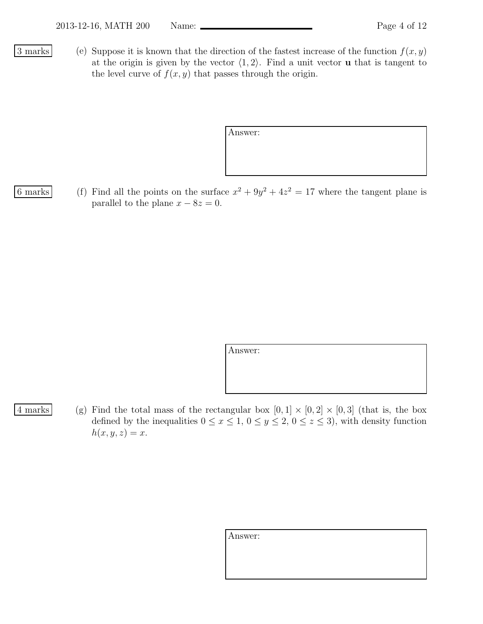3 marks (e) Suppose it is known that the direction of the fastest increase of the function  $f(x, y)$ at the origin is given by the vector  $\langle 1, 2 \rangle$ . Find a unit vector **u** that is tangent to the level curve of  $f(x, y)$  that passes through the origin.

| Answer: |  |  |  |
|---------|--|--|--|
|         |  |  |  |
|         |  |  |  |
|         |  |  |  |

6 marks (f) Find all the points on the surface  $x^2 + 9y^2 + 4z^2 = 17$  where the tangent plane is parallel to the plane  $x - 8z = 0$ .

Answer:

4 marks (g) Find the total mass of the rectangular box  $[0,1] \times [0,2] \times [0,3]$  (that is, the box defined by the inequalities  $0 \le x \le 1, 0 \le y \le 2, 0 \le z \le 3$ , with density function  $h(x, y, z) = x.$ 

| Answer: |  |  |
|---------|--|--|
|         |  |  |
|         |  |  |
|         |  |  |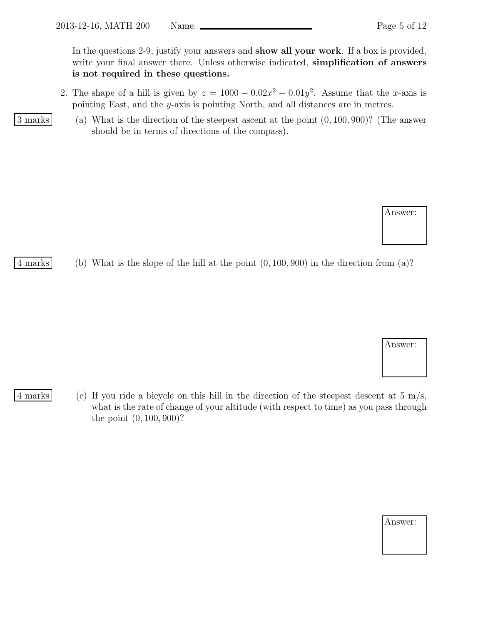In the questions 2-9, justify your answers and **show all your work**. If a box is provided, write your final answer there. Unless otherwise indicated, **simplification of answers** is not required in these questions.

2. The shape of a hill is given by  $z = 1000 - 0.02x^2 - 0.01y^2$ . Assume that the x-axis is pointing East, and the y-axis is pointing North, and all distances are in metres.

3 marks (a) What is the direction of the steepest ascent at the point (0, 100, 900)? (The answer should be in terms of directions of the compass).

4 marks (b) What is the slope of the hill at the point (0, 100, 900) in the direction from (a)?

4 marks (c) If you ride a bicycle on this hill in the direction of the steepest descent at  $5 \text{ m/s}$ , what is the rate of change of your altitude (with respect to time) as you pass through the point (0, 100, 900)?

| Answer: |  |
|---------|--|
|---------|--|

Answer:

Answer: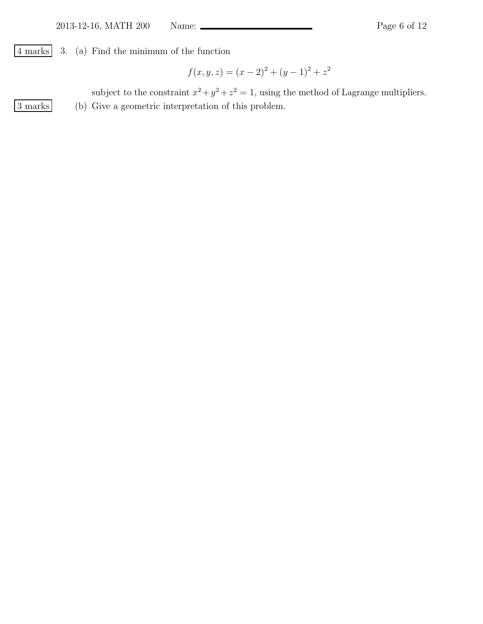4 marks 3. (a) Find the minimum of the function

$$
f(x, y, z) = (x - 2)^{2} + (y - 1)^{2} + z^{2}
$$

subject to the constraint  $x^2 + y^2 + z^2 = 1$ , using the method of Lagrange multipliers. 3 marks (b) Give a geometric interpretation of this problem.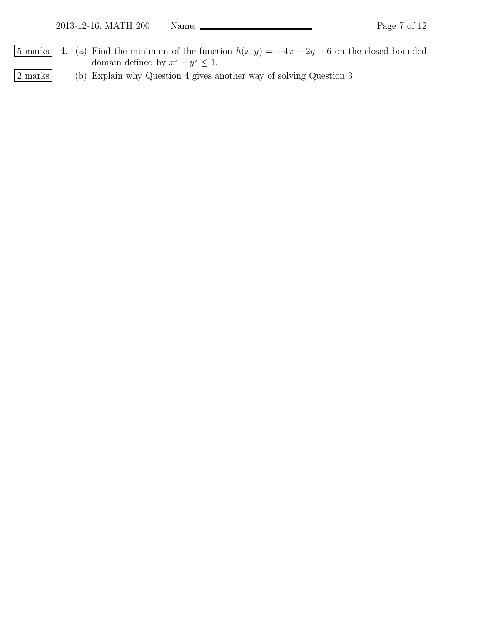- $\boxed{5 \text{ marks}}$  4. (a) Find the minimum of the function  $h(x, y) = -4x 2y + 6$  on the closed bounded domain defined by  $x^2 + y^2 \leq 1$ .
- 2 marks (b) Explain why Question 4 gives another way of solving Question 3.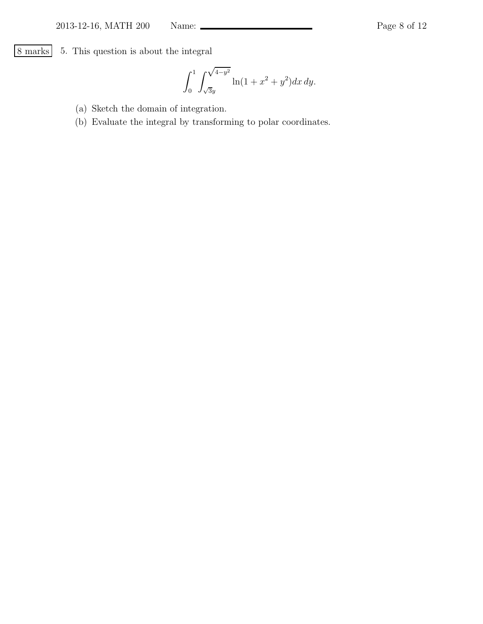8 marks 5. This question is about the integral

$$
\int_0^1 \int_{\sqrt{3}y}^{\sqrt{4-y^2}} \ln(1+x^2+y^2) dx dy.
$$

- (a) Sketch the domain of integration.
- (b) Evaluate the integral by transforming to polar coordinates.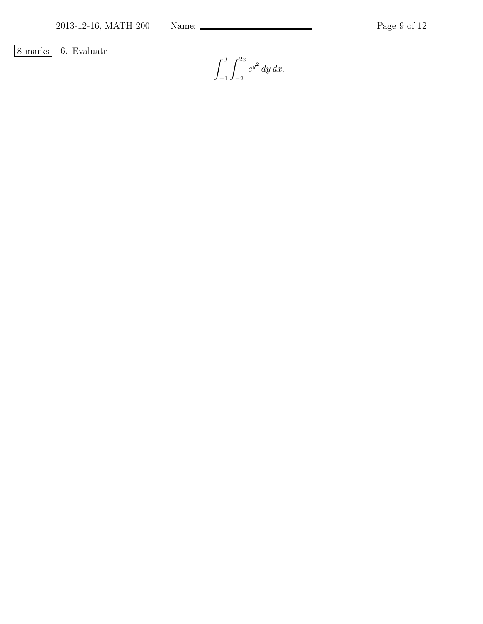8 marks 6. Evaluate

 $\int_0^0$ −1  $\int^{2x}$  $^{-2}$  $e^{y^2} dy dx$ .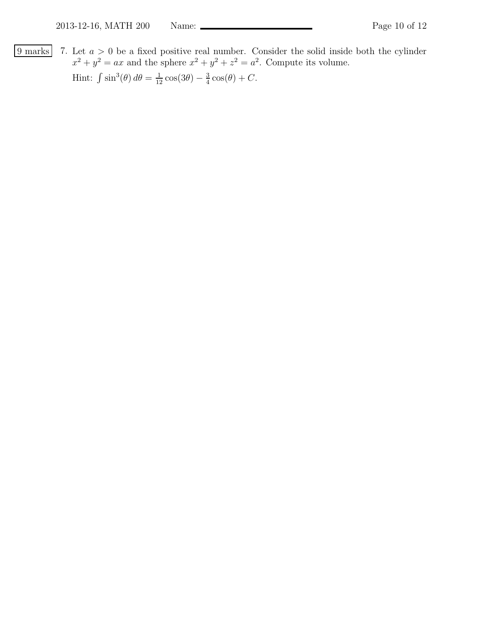9 marks 7. Let  $a > 0$  be a fixed positive real number. Consider the solid inside both the cylinder  $x^2 + y^2 = ax$  and the sphere  $x^2 + y^2 + z^2 = a^2$ . Compute its volume. Hint:  $\int \sin^3(\theta) d\theta = \frac{1}{12} \cos(3\theta) - \frac{3}{4}$  $\frac{3}{4}\cos(\theta) + C.$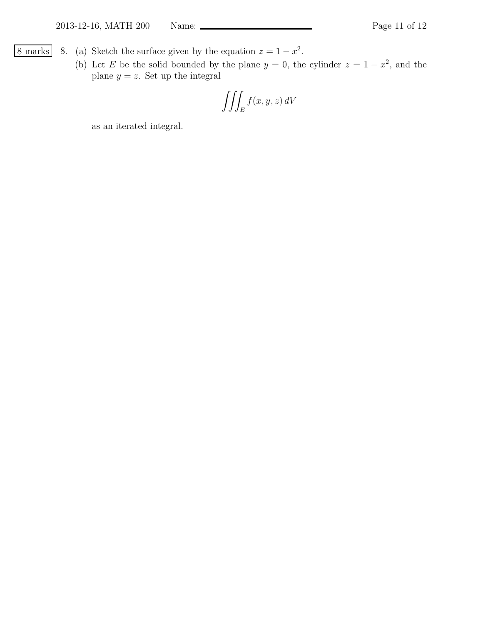- <u>8 marks</u> 8. (a) Sketch the surface given by the equation  $z = 1 x^2$ .
	- (b) Let E be the solid bounded by the plane  $y = 0$ , the cylinder  $z = 1 x^2$ , and the plane  $y = z$ . Set up the integral

$$
\iiint_E f(x, y, z) \, dV
$$

as an iterated integral.